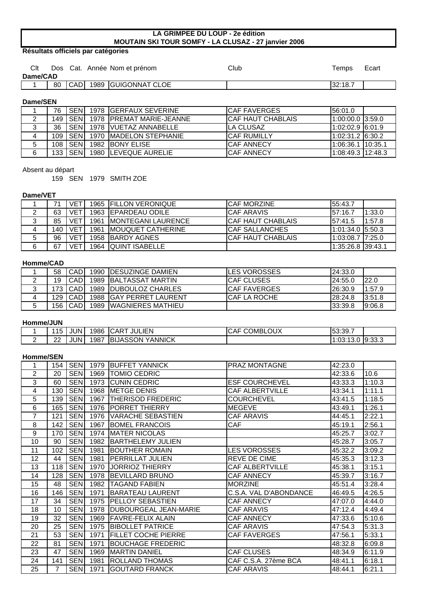## **LA GRIMPEE DU LOUP - 2e édition MOUTAIN SKI TOUR SOMFY - LA CLUSAZ - 27 janvier 2006**

# **Résultats officiels par catégories**

| Clt      |    |            | Dos Cat. Année Nom et prénom | Club | Temps   | Ecart |
|----------|----|------------|------------------------------|------|---------|-------|
| Dame/CAD |    |            |                              |      |         |       |
|          | 80 | <b>CAD</b> | 1989 GUIGONNAT CLOE          |      | 32:18.7 |       |
|          |    |            |                              |      |         |       |

#### **Dame/SEN**

|   | 76 |         | I SENI 1978 IGERFAUX SEVERINE          | <b>ICAF FAVERGES</b>     | 156:01.0            |  |
|---|----|---------|----------------------------------------|--------------------------|---------------------|--|
|   |    |         | 149   SEN   1978   PREMAT MARIE-JEANNE | <b>CAF HAUT CHABLAIS</b> | $1:00:00.0$ 3:59.0  |  |
| 3 | 36 |         | SEN 1978 VUETAZ ANNABELLE              | ILA CLUSAZ               | $1:02:02.9$ 6:01.9  |  |
| 4 |    |         | 109   SEN   1970   MADELON STEPHANIE   | <b>ICAF RUMILLY</b>      | $1:02:31.2$ 6:30.2  |  |
| 5 |    | 108 SEN | 1982 BONY ELISE                        | <b>ICAF ANNECY</b>       | 11:06:36.1 10:35.1  |  |
| 6 |    | 133 SEN | 1980 LEVEQUE AURELIE                   | <b>ICAF ANNECY</b>       | $1:08:49.3$ 12:48.3 |  |

### Absent au départ

159 SEN 1979 SMITH ZOE

### **Dame/VET**

|   |     | VET             | 1965   FILLON VERONIQUE  | <b>ICAF MORZINE</b>    | 55:43.7            |        |
|---|-----|-----------------|--------------------------|------------------------|--------------------|--------|
|   | 63  | <b>VET</b>      | 1963 EPARDEAU ODILE      | <b>ICAF ARAVIS</b>     | 57:16.7            | 1:33.0 |
| 3 | 85  | VE <sub>1</sub> | 1961 IMONTEGANI LAURENCE | ICAF HAUT CHABLAIS     | 57:41.5            | 1:57.8 |
| 4 | 140 | <b>VET</b>      | 1961   MOUQUET CATHERINE | <b>ICAF SALLANCHES</b> | 11:01:34.0 15:50.3 |        |
| 5 | 96  | <b>VET</b>      | 1958 BARDY AGNES         | ICAF HAUT CHABLAIS     | 1:03:08.7 7:25.0   |        |
| 6 | 67  | <b>VET</b>      | 1964 QUINT ISABELLE      |                        | 1:35:26.8 39:43.1  |        |

# **Homme/CAD**

|         | 58  | <b>CAD</b> | 1990 IDESUZINGE DAMIEN   | <b>ILES VOROSSES</b> | 124:33.0 |        |
|---------|-----|------------|--------------------------|----------------------|----------|--------|
| 2       | 19  | CADI       | 1989 BALTASSAT MARTIN    | <b>ICAF CLUSES</b>   | 124:55.0 | l22.0  |
| ≏<br>ັບ |     | 173 I CADI | 1989   DUBOULOZ CHARLES  | <b>ICAF FAVERGES</b> | 126:30.9 | 1:57.9 |
| 4       |     | 129   CAD  | 1988 IGAY PERRET LAURENT | ICAF LA ROCHE        | 28:24.8  | 3:51.8 |
| 5       | 156 | <b>CAD</b> | 1989   WAGNIERES MATHIEU |                      | 33:39.8  | 9:06.8 |

### **Homme/JUN**

|   | 1 <sub>E</sub><br>⊥ບ | <b>JUN</b> | 1986 | JULIEN<br><b>ICART</b> | <b>COMBLOUX</b><br><b>CAF</b> | 153:39.7                                         |             |
|---|----------------------|------------|------|------------------------|-------------------------------|--------------------------------------------------|-------------|
| - | nn<br>LL             | <b>JUN</b> | 1987 | YANNICK<br>IBIJASSON   |                               | $\sim$ 1.00 $\sim$<br>$.3.4 \circ$<br>1.UJ. 1J.U | $.0$ 9:33.3 |

### **Homme/SEN**

| 1                 | 154 | <b>SEN</b> | 1979 | <b>BUFFET YANNICK</b>      | <b>PRAZ MONTAGNE</b>   | 42:23.0 |        |
|-------------------|-----|------------|------|----------------------------|------------------------|---------|--------|
| 2                 | 20  | <b>SEN</b> | 1969 | <b>TOMIO CEDRIC</b>        |                        | 42:33.6 | 10.6   |
| 3                 | 60  | <b>SEN</b> | 1973 | <b>CUNIN CEDRIC</b>        | <b>ESF COURCHEVEL</b>  | 43:33.3 | 1:10.3 |
| 4                 | 130 | <b>SEN</b> | 1968 | <b>IMETGE DENIS</b>        | <b>CAF ALBERTVILLE</b> | 43:34.1 | 1:11.1 |
| 5                 | 139 | <b>SEN</b> | 1967 | THERISOD FREDERIC          | <b>COURCHEVEL</b>      | 43:41.5 | 1:18.5 |
| 6                 | 165 | <b>SEN</b> | 1976 | <b>PORRET THIERRY</b>      | <b>MEGEVE</b>          | 43:49.1 | 1:26.1 |
| $\overline{7}$    | 121 | <b>SEN</b> | 1976 | <b>VARACHE SEBASTIEN</b>   | <b>CAF ARAVIS</b>      | 44:45.1 | 2:22.1 |
| 8                 | 142 | <b>SEN</b> | 1967 | <b>BOMEL FRANCOIS</b>      | CAF                    | 45:19.1 | 2:56.1 |
| 9                 | 170 | <b>SEN</b> | 1974 | <b>MATER NICOLAS</b>       |                        | 45:25.7 | 3:02.7 |
| 10                | 90  | <b>SEN</b> | 1982 | <b>BARTHELEMY JULIEN</b>   |                        | 45:28.7 | 3:05.7 |
| 11                | 102 | <b>SEN</b> | 1981 | <b>BOUTHER ROMAIN</b>      | <b>LES VOROSSES</b>    | 45:32.2 | 3:09.2 |
| $12 \overline{ }$ | 44  | <b>SEN</b> | 1981 | <b>PERRILLAT JULIEN</b>    | <b>REVE DE CIME</b>    | 45:35.3 | 3:12.3 |
| 13                | 118 | <b>SEN</b> | 1970 | <b>JORRIOZ THIERRY</b>     | <b>CAF ALBERTVILLE</b> | 45:38.1 | 3:15.1 |
| 14                | 128 | <b>SEN</b> | 1978 | <b>BEVILLARD BRUNO</b>     | <b>CAF ANNECY</b>      | 45:39.7 | 3:16.7 |
| 15                | 48  | <b>SEN</b> | 1982 | <b>TAGAND FABIEN</b>       | <b>MORZINE</b>         | 45:51.4 | 3:28.4 |
| 16                | 146 | <b>SEN</b> | 1971 | <b>BARATEAU LAURENT</b>    | C.S.A. VAL D'ABONDANCE | 46:49.5 | 4:26.5 |
| 17                | 34  | <b>SEN</b> | 1975 | <b>PELLOY SEBASTIEN</b>    | <b>CAF ANNECY</b>      | 47:07.0 | 4:44.0 |
| 18                | 10  | <b>SEN</b> | 1978 | DUBOURGEAL JEAN-MARIE      | <b>CAF ARAVIS</b>      | 47:12.4 | 4:49.4 |
| 19                | 32  | <b>SEN</b> | 1969 | <b>FAVRE-FELIX ALAIN</b>   | <b>CAF ANNECY</b>      | 47:33.6 | 5:10.6 |
| 20                | 25  | <b>SEN</b> | 1975 | <b>BIBOLLET PATRICE</b>    | <b>CAF ARAVIS</b>      | 47:54.3 | 5:31.3 |
| 21                | 53  | <b>SEN</b> | 1971 | <b>FILLET COCHE PIERRE</b> | <b>CAF FAVERGES</b>    | 47:56.1 | 5:33.1 |
| 22                | 81  | <b>SEN</b> | 1971 | <b>BOUCHAGE FREDERIC</b>   |                        | 48:32.8 | 6:09.8 |
| 23                | 47  | <b>SEN</b> | 1969 | <b>MARTIN DANIEL</b>       | <b>CAF CLUSES</b>      | 48:34.9 | 6:11.9 |
| 24                | 141 | <b>SEN</b> | 1981 | <b>ROLLAND THOMAS</b>      | CAF C.S.A. 27ème BCA   | 48:41.1 | 6:18.1 |
| 25                | 7   | <b>SEN</b> | 1971 | <b>GOUTARD FRANCK</b>      | <b>CAF ARAVIS</b>      | 48:44.1 | 6:21.1 |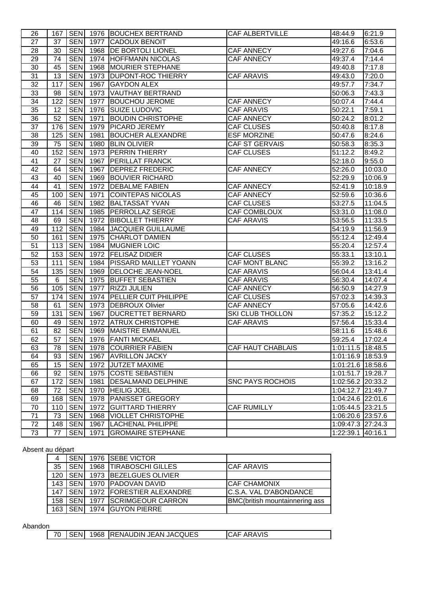| <b>SEN</b><br>27<br>1977 CADOUX BENOIT<br>37<br>49:16.6<br><b>SEN</b><br>28<br>30<br>1968 DE BORTOLI LIONEL<br>7:04.6<br><b>CAF ANNECY</b><br>49:27.6<br>$\overline{29}$<br><b>SEN</b><br>7:14.4<br>74<br>1974 HOFFMANN NICOLAS<br><b>CAF ANNECY</b><br>49:37.4<br>$\overline{30}$<br><b>SEN</b><br><b>MOURIER STEPHANE</b><br>45<br>1968<br>7:17.8<br>49:40.8<br>$\overline{31}$<br><b>SEN</b><br>13<br>1973 DUPONT-ROC THIERRY<br>49:43.0<br>7:20.0<br><b>CAF ARAVIS</b><br>$\overline{32}$<br><b>SEN</b><br>117<br>1967<br><b>GAYDON ALEX</b><br>7:34.7<br>49:57.7<br>$\overline{33}$<br><b>SEN</b><br>98<br>1973<br><b>VAUTHAY BERTRAND</b><br>7:43.3<br>50:06.3<br>$\overline{34}$<br><b>SEN</b><br>122<br>1977<br><b>BOUCHOU JEROME</b><br><b>CAF ANNECY</b><br>7:44.4<br>50:07.4<br>$\overline{35}$<br>$\overline{12}$<br><b>SEN</b><br><b>ISUIZE LUDOVIC</b><br>7:59.1<br>1976<br><b>CAF ARAVIS</b><br>50:22.1<br>$\overline{36}$<br><b>SEN</b><br>52<br>1971<br><b>BOUDIN CHRISTOPHE</b><br><b>CAF ANNECY</b><br>50:24.2<br>8:01.2<br>37<br><b>SEN</b><br>176<br>1979<br><b>PICARD JEREMY</b><br><b>CAF CLUSES</b><br>8:17.8<br>50:40.8<br>38<br><b>SEN</b><br>125<br>1981<br><b>BOUCHER ALEXANDRE</b><br><b>ESF MORZINE</b><br>8:24.6<br>50:47.6<br>39<br><b>SEN</b><br>75<br>1980<br><b>BLIN OLIVIER</b><br>CAF ST GERVAIS<br>8:35.3<br>50:58.3<br>40<br><b>SEN</b><br>152<br>1973<br><b>PERRIN THIERRY</b><br><b>CAF CLUSES</b><br>51:12.2<br>8:49.2<br>41<br><b>SEN</b><br>27<br>1967<br><b>PERILLAT FRANCK</b><br>9:55.0<br>52:18.0<br>42<br><b>SEN</b><br>1967<br><b>DEPREZ FREDERIC</b><br><b>CAF ANNECY</b><br>64<br>52:26.0<br>10:03.0<br>43<br><b>SEN</b><br>1969 BOUVIER RICHARD<br>10:06.9<br>40<br>52:29.9<br>44<br><b>SEN</b><br>41<br>1972   DEBALME FABIEN<br><b>CAF ANNECY</b><br>10:18.9<br>52:41.9<br><b>SEN</b><br>45<br>1971<br><b>CAF ANNECY</b><br>10:36.6<br>100<br><b>COINTEPAS NICOLAS</b><br>52:59.6<br>46<br><b>SEN</b><br>1982<br><b>BALTASSAT YVAN</b><br><b>CAF CLUSES</b><br>46<br>53:27.5<br>11:04.5<br>47<br><b>SEN</b><br>1985 PERROLLAZ SERGE<br>CAF COMBLOUX<br>114<br>53:31.0<br>11:08.0<br><b>SEN</b><br>48<br>1972 BIBOLLET THIERRY<br><b>CAF ARAVIS</b><br>11:33.5<br>69<br>53:56.5<br><b>SEN</b><br>49<br>112<br>1984 JACQUIER GUILLAUME<br>11:56.9<br>54:19.9<br><b>SEN</b><br>50<br>1975 CHARLOT DAMIEN<br>161<br>55:12.4<br>12:49.4<br>51<br><b>SEN</b><br>113<br>1984 MUGNIER LOIC<br>55:20.4<br>12:57.4<br>52<br><b>SEN</b><br>153<br>1972<br><b>FELISAZ DIDIER</b><br><b>CAF CLUSES</b><br>55:33.1<br>13:10.1<br><b>SEN</b><br>53<br>1984<br><b>PISSARD MAILLET YOANN</b><br>111<br>CAF MONT BLANC<br>55:39.2<br>13:16.2<br>$\overline{54}$<br><b>SEN</b><br><b>CAF ARAVIS</b><br>135<br>1969<br><b>DELOCHE JEAN-NOEL</b><br>56:04.4<br>13:41.4<br>$\overline{55}$<br><b>SEN</b><br>6<br>1975 BUFFET SEBASTIEN<br><b>CAF ARAVIS</b><br>56:30.4<br>14:07.4<br><b>SEN</b><br>56<br>105<br><b>RIZZI JULIEN</b><br><b>CAF ANNECY</b><br>1977<br>56:50.9<br>14:27.9<br>$\overline{57}$<br><b>SEN</b><br>174<br>1974 PELLIER CUIT PHILIPPE<br><b>CAF CLUSES</b><br>57:02.3<br>14:39.3<br><b>SEN</b><br>58<br>1973 DEBROUX Olivier<br><b>CAF ANNECY</b><br>61<br>14:42.6<br>57:05.6<br>59<br><b>SEN</b><br><b>SKI CLUB THOLLON</b><br>131<br>1967<br><b>DUCRETTET BERNARD</b><br>57:35.2<br>15:12.2<br><b>SEN</b><br>60<br><b>CAF ARAVIS</b><br>49<br>1972<br><b>ATRUX CHRISTOPHE</b><br>57:56.4<br>15:33.4<br><b>SEN</b><br>61<br>82<br>1969<br>MAISTRE EMMANUEL<br>58:11.6<br>15:48.6<br><b>SEN</b><br>1976 FANTI MICKAEL<br>62<br>57<br>59:25.4<br>17:02.4<br>SEN 1978 COURRIER FABIEN<br>63<br>78<br><b>CAF HAUT CHABLAIS</b><br>1:01:11.5 18:48.5<br><b>SEN</b><br>64<br>93<br>1967 AVRILLON JACKY<br>1:01:16.9 18:53.9<br><b>SEN</b><br>1972 JUTZET MAXIME<br>65<br>15<br>1:01:21.6 18:58.6<br><b>SEN</b><br>66<br>92<br>1975 COSTE SEBASTIEN<br>1:01:51.7 19:28.7<br><b>SEN</b><br>67<br><b>DESALMAND DELPHINE</b><br><b>SNC PAYS ROCHOIS</b><br>172<br>1981<br>1:02:56.2 20:33.2<br><b>SEN</b><br>72<br>1970 HEILIG JOEL<br>68<br>1:04:12.7 21:49.7<br><b>SEN</b><br>69<br><b>PANISSET GREGORY</b><br>168<br>1978<br>1:04:24.6 22:01.6<br><b>SEN</b><br>70<br><b>GUITTARD THIERRY</b><br><b>CAF RUMILLY</b><br>1:05:44.5 23:21.5<br>110<br>1972<br>71<br>73<br><b>SEN</b><br><b>VIOLLET CHRISTOPHE</b><br>1968<br>1:06:20.6 23:57.6<br>72<br><b>SEN</b><br><b>LACHENAL PHILIPPE</b><br>1:09:47.3 27:24.3<br>148<br>1967<br>73<br><b>SEN</b><br><b>GROMAIRE STEPHANE</b><br>77<br>1971<br>1:22:39.1 40:16.1 | 26 |  | 167   SEN   1976   BOUCHEX BERTRAND | <b>CAF ALBERTVILLE</b> | 48:44.9 | 6:21.9 |
|----------------------------------------------------------------------------------------------------------------------------------------------------------------------------------------------------------------------------------------------------------------------------------------------------------------------------------------------------------------------------------------------------------------------------------------------------------------------------------------------------------------------------------------------------------------------------------------------------------------------------------------------------------------------------------------------------------------------------------------------------------------------------------------------------------------------------------------------------------------------------------------------------------------------------------------------------------------------------------------------------------------------------------------------------------------------------------------------------------------------------------------------------------------------------------------------------------------------------------------------------------------------------------------------------------------------------------------------------------------------------------------------------------------------------------------------------------------------------------------------------------------------------------------------------------------------------------------------------------------------------------------------------------------------------------------------------------------------------------------------------------------------------------------------------------------------------------------------------------------------------------------------------------------------------------------------------------------------------------------------------------------------------------------------------------------------------------------------------------------------------------------------------------------------------------------------------------------------------------------------------------------------------------------------------------------------------------------------------------------------------------------------------------------------------------------------------------------------------------------------------------------------------------------------------------------------------------------------------------------------------------------------------------------------------------------------------------------------------------------------------------------------------------------------------------------------------------------------------------------------------------------------------------------------------------------------------------------------------------------------------------------------------------------------------------------------------------------------------------------------------------------------------------------------------------------------------------------------------------------------------------------------------------------------------------------------------------------------------------------------------------------------------------------------------------------------------------------------------------------------------------------------------------------------------------------------------------------------------------------------------------------------------------------------------------------------------------------------------------------------------------------------------------------------------------------------------------------------------------------------------------------------------------------------------------------------------------------------------------------------------------------------------------------------------------------------------------------------------------------------------------------------------------------------------------------------------------------------------------------------------------------------------------------------------------------------------------------------------------------------------------------------------------------------------------------------------------------------------------------------------------------------------------------------------------------------|----|--|-------------------------------------|------------------------|---------|--------|
|                                                                                                                                                                                                                                                                                                                                                                                                                                                                                                                                                                                                                                                                                                                                                                                                                                                                                                                                                                                                                                                                                                                                                                                                                                                                                                                                                                                                                                                                                                                                                                                                                                                                                                                                                                                                                                                                                                                                                                                                                                                                                                                                                                                                                                                                                                                                                                                                                                                                                                                                                                                                                                                                                                                                                                                                                                                                                                                                                                                                                                                                                                                                                                                                                                                                                                                                                                                                                                                                                                                                                                                                                                                                                                                                                                                                                                                                                                                                                                                                                                                                                                                                                                                                                                                                                                                                                                                                                                                                                                                                                                      |    |  |                                     |                        |         | 6:53.6 |
|                                                                                                                                                                                                                                                                                                                                                                                                                                                                                                                                                                                                                                                                                                                                                                                                                                                                                                                                                                                                                                                                                                                                                                                                                                                                                                                                                                                                                                                                                                                                                                                                                                                                                                                                                                                                                                                                                                                                                                                                                                                                                                                                                                                                                                                                                                                                                                                                                                                                                                                                                                                                                                                                                                                                                                                                                                                                                                                                                                                                                                                                                                                                                                                                                                                                                                                                                                                                                                                                                                                                                                                                                                                                                                                                                                                                                                                                                                                                                                                                                                                                                                                                                                                                                                                                                                                                                                                                                                                                                                                                                                      |    |  |                                     |                        |         |        |
|                                                                                                                                                                                                                                                                                                                                                                                                                                                                                                                                                                                                                                                                                                                                                                                                                                                                                                                                                                                                                                                                                                                                                                                                                                                                                                                                                                                                                                                                                                                                                                                                                                                                                                                                                                                                                                                                                                                                                                                                                                                                                                                                                                                                                                                                                                                                                                                                                                                                                                                                                                                                                                                                                                                                                                                                                                                                                                                                                                                                                                                                                                                                                                                                                                                                                                                                                                                                                                                                                                                                                                                                                                                                                                                                                                                                                                                                                                                                                                                                                                                                                                                                                                                                                                                                                                                                                                                                                                                                                                                                                                      |    |  |                                     |                        |         |        |
|                                                                                                                                                                                                                                                                                                                                                                                                                                                                                                                                                                                                                                                                                                                                                                                                                                                                                                                                                                                                                                                                                                                                                                                                                                                                                                                                                                                                                                                                                                                                                                                                                                                                                                                                                                                                                                                                                                                                                                                                                                                                                                                                                                                                                                                                                                                                                                                                                                                                                                                                                                                                                                                                                                                                                                                                                                                                                                                                                                                                                                                                                                                                                                                                                                                                                                                                                                                                                                                                                                                                                                                                                                                                                                                                                                                                                                                                                                                                                                                                                                                                                                                                                                                                                                                                                                                                                                                                                                                                                                                                                                      |    |  |                                     |                        |         |        |
|                                                                                                                                                                                                                                                                                                                                                                                                                                                                                                                                                                                                                                                                                                                                                                                                                                                                                                                                                                                                                                                                                                                                                                                                                                                                                                                                                                                                                                                                                                                                                                                                                                                                                                                                                                                                                                                                                                                                                                                                                                                                                                                                                                                                                                                                                                                                                                                                                                                                                                                                                                                                                                                                                                                                                                                                                                                                                                                                                                                                                                                                                                                                                                                                                                                                                                                                                                                                                                                                                                                                                                                                                                                                                                                                                                                                                                                                                                                                                                                                                                                                                                                                                                                                                                                                                                                                                                                                                                                                                                                                                                      |    |  |                                     |                        |         |        |
|                                                                                                                                                                                                                                                                                                                                                                                                                                                                                                                                                                                                                                                                                                                                                                                                                                                                                                                                                                                                                                                                                                                                                                                                                                                                                                                                                                                                                                                                                                                                                                                                                                                                                                                                                                                                                                                                                                                                                                                                                                                                                                                                                                                                                                                                                                                                                                                                                                                                                                                                                                                                                                                                                                                                                                                                                                                                                                                                                                                                                                                                                                                                                                                                                                                                                                                                                                                                                                                                                                                                                                                                                                                                                                                                                                                                                                                                                                                                                                                                                                                                                                                                                                                                                                                                                                                                                                                                                                                                                                                                                                      |    |  |                                     |                        |         |        |
|                                                                                                                                                                                                                                                                                                                                                                                                                                                                                                                                                                                                                                                                                                                                                                                                                                                                                                                                                                                                                                                                                                                                                                                                                                                                                                                                                                                                                                                                                                                                                                                                                                                                                                                                                                                                                                                                                                                                                                                                                                                                                                                                                                                                                                                                                                                                                                                                                                                                                                                                                                                                                                                                                                                                                                                                                                                                                                                                                                                                                                                                                                                                                                                                                                                                                                                                                                                                                                                                                                                                                                                                                                                                                                                                                                                                                                                                                                                                                                                                                                                                                                                                                                                                                                                                                                                                                                                                                                                                                                                                                                      |    |  |                                     |                        |         |        |
|                                                                                                                                                                                                                                                                                                                                                                                                                                                                                                                                                                                                                                                                                                                                                                                                                                                                                                                                                                                                                                                                                                                                                                                                                                                                                                                                                                                                                                                                                                                                                                                                                                                                                                                                                                                                                                                                                                                                                                                                                                                                                                                                                                                                                                                                                                                                                                                                                                                                                                                                                                                                                                                                                                                                                                                                                                                                                                                                                                                                                                                                                                                                                                                                                                                                                                                                                                                                                                                                                                                                                                                                                                                                                                                                                                                                                                                                                                                                                                                                                                                                                                                                                                                                                                                                                                                                                                                                                                                                                                                                                                      |    |  |                                     |                        |         |        |
|                                                                                                                                                                                                                                                                                                                                                                                                                                                                                                                                                                                                                                                                                                                                                                                                                                                                                                                                                                                                                                                                                                                                                                                                                                                                                                                                                                                                                                                                                                                                                                                                                                                                                                                                                                                                                                                                                                                                                                                                                                                                                                                                                                                                                                                                                                                                                                                                                                                                                                                                                                                                                                                                                                                                                                                                                                                                                                                                                                                                                                                                                                                                                                                                                                                                                                                                                                                                                                                                                                                                                                                                                                                                                                                                                                                                                                                                                                                                                                                                                                                                                                                                                                                                                                                                                                                                                                                                                                                                                                                                                                      |    |  |                                     |                        |         |        |
|                                                                                                                                                                                                                                                                                                                                                                                                                                                                                                                                                                                                                                                                                                                                                                                                                                                                                                                                                                                                                                                                                                                                                                                                                                                                                                                                                                                                                                                                                                                                                                                                                                                                                                                                                                                                                                                                                                                                                                                                                                                                                                                                                                                                                                                                                                                                                                                                                                                                                                                                                                                                                                                                                                                                                                                                                                                                                                                                                                                                                                                                                                                                                                                                                                                                                                                                                                                                                                                                                                                                                                                                                                                                                                                                                                                                                                                                                                                                                                                                                                                                                                                                                                                                                                                                                                                                                                                                                                                                                                                                                                      |    |  |                                     |                        |         |        |
|                                                                                                                                                                                                                                                                                                                                                                                                                                                                                                                                                                                                                                                                                                                                                                                                                                                                                                                                                                                                                                                                                                                                                                                                                                                                                                                                                                                                                                                                                                                                                                                                                                                                                                                                                                                                                                                                                                                                                                                                                                                                                                                                                                                                                                                                                                                                                                                                                                                                                                                                                                                                                                                                                                                                                                                                                                                                                                                                                                                                                                                                                                                                                                                                                                                                                                                                                                                                                                                                                                                                                                                                                                                                                                                                                                                                                                                                                                                                                                                                                                                                                                                                                                                                                                                                                                                                                                                                                                                                                                                                                                      |    |  |                                     |                        |         |        |
|                                                                                                                                                                                                                                                                                                                                                                                                                                                                                                                                                                                                                                                                                                                                                                                                                                                                                                                                                                                                                                                                                                                                                                                                                                                                                                                                                                                                                                                                                                                                                                                                                                                                                                                                                                                                                                                                                                                                                                                                                                                                                                                                                                                                                                                                                                                                                                                                                                                                                                                                                                                                                                                                                                                                                                                                                                                                                                                                                                                                                                                                                                                                                                                                                                                                                                                                                                                                                                                                                                                                                                                                                                                                                                                                                                                                                                                                                                                                                                                                                                                                                                                                                                                                                                                                                                                                                                                                                                                                                                                                                                      |    |  |                                     |                        |         |        |
|                                                                                                                                                                                                                                                                                                                                                                                                                                                                                                                                                                                                                                                                                                                                                                                                                                                                                                                                                                                                                                                                                                                                                                                                                                                                                                                                                                                                                                                                                                                                                                                                                                                                                                                                                                                                                                                                                                                                                                                                                                                                                                                                                                                                                                                                                                                                                                                                                                                                                                                                                                                                                                                                                                                                                                                                                                                                                                                                                                                                                                                                                                                                                                                                                                                                                                                                                                                                                                                                                                                                                                                                                                                                                                                                                                                                                                                                                                                                                                                                                                                                                                                                                                                                                                                                                                                                                                                                                                                                                                                                                                      |    |  |                                     |                        |         |        |
|                                                                                                                                                                                                                                                                                                                                                                                                                                                                                                                                                                                                                                                                                                                                                                                                                                                                                                                                                                                                                                                                                                                                                                                                                                                                                                                                                                                                                                                                                                                                                                                                                                                                                                                                                                                                                                                                                                                                                                                                                                                                                                                                                                                                                                                                                                                                                                                                                                                                                                                                                                                                                                                                                                                                                                                                                                                                                                                                                                                                                                                                                                                                                                                                                                                                                                                                                                                                                                                                                                                                                                                                                                                                                                                                                                                                                                                                                                                                                                                                                                                                                                                                                                                                                                                                                                                                                                                                                                                                                                                                                                      |    |  |                                     |                        |         |        |
|                                                                                                                                                                                                                                                                                                                                                                                                                                                                                                                                                                                                                                                                                                                                                                                                                                                                                                                                                                                                                                                                                                                                                                                                                                                                                                                                                                                                                                                                                                                                                                                                                                                                                                                                                                                                                                                                                                                                                                                                                                                                                                                                                                                                                                                                                                                                                                                                                                                                                                                                                                                                                                                                                                                                                                                                                                                                                                                                                                                                                                                                                                                                                                                                                                                                                                                                                                                                                                                                                                                                                                                                                                                                                                                                                                                                                                                                                                                                                                                                                                                                                                                                                                                                                                                                                                                                                                                                                                                                                                                                                                      |    |  |                                     |                        |         |        |
|                                                                                                                                                                                                                                                                                                                                                                                                                                                                                                                                                                                                                                                                                                                                                                                                                                                                                                                                                                                                                                                                                                                                                                                                                                                                                                                                                                                                                                                                                                                                                                                                                                                                                                                                                                                                                                                                                                                                                                                                                                                                                                                                                                                                                                                                                                                                                                                                                                                                                                                                                                                                                                                                                                                                                                                                                                                                                                                                                                                                                                                                                                                                                                                                                                                                                                                                                                                                                                                                                                                                                                                                                                                                                                                                                                                                                                                                                                                                                                                                                                                                                                                                                                                                                                                                                                                                                                                                                                                                                                                                                                      |    |  |                                     |                        |         |        |
|                                                                                                                                                                                                                                                                                                                                                                                                                                                                                                                                                                                                                                                                                                                                                                                                                                                                                                                                                                                                                                                                                                                                                                                                                                                                                                                                                                                                                                                                                                                                                                                                                                                                                                                                                                                                                                                                                                                                                                                                                                                                                                                                                                                                                                                                                                                                                                                                                                                                                                                                                                                                                                                                                                                                                                                                                                                                                                                                                                                                                                                                                                                                                                                                                                                                                                                                                                                                                                                                                                                                                                                                                                                                                                                                                                                                                                                                                                                                                                                                                                                                                                                                                                                                                                                                                                                                                                                                                                                                                                                                                                      |    |  |                                     |                        |         |        |
|                                                                                                                                                                                                                                                                                                                                                                                                                                                                                                                                                                                                                                                                                                                                                                                                                                                                                                                                                                                                                                                                                                                                                                                                                                                                                                                                                                                                                                                                                                                                                                                                                                                                                                                                                                                                                                                                                                                                                                                                                                                                                                                                                                                                                                                                                                                                                                                                                                                                                                                                                                                                                                                                                                                                                                                                                                                                                                                                                                                                                                                                                                                                                                                                                                                                                                                                                                                                                                                                                                                                                                                                                                                                                                                                                                                                                                                                                                                                                                                                                                                                                                                                                                                                                                                                                                                                                                                                                                                                                                                                                                      |    |  |                                     |                        |         |        |
|                                                                                                                                                                                                                                                                                                                                                                                                                                                                                                                                                                                                                                                                                                                                                                                                                                                                                                                                                                                                                                                                                                                                                                                                                                                                                                                                                                                                                                                                                                                                                                                                                                                                                                                                                                                                                                                                                                                                                                                                                                                                                                                                                                                                                                                                                                                                                                                                                                                                                                                                                                                                                                                                                                                                                                                                                                                                                                                                                                                                                                                                                                                                                                                                                                                                                                                                                                                                                                                                                                                                                                                                                                                                                                                                                                                                                                                                                                                                                                                                                                                                                                                                                                                                                                                                                                                                                                                                                                                                                                                                                                      |    |  |                                     |                        |         |        |
|                                                                                                                                                                                                                                                                                                                                                                                                                                                                                                                                                                                                                                                                                                                                                                                                                                                                                                                                                                                                                                                                                                                                                                                                                                                                                                                                                                                                                                                                                                                                                                                                                                                                                                                                                                                                                                                                                                                                                                                                                                                                                                                                                                                                                                                                                                                                                                                                                                                                                                                                                                                                                                                                                                                                                                                                                                                                                                                                                                                                                                                                                                                                                                                                                                                                                                                                                                                                                                                                                                                                                                                                                                                                                                                                                                                                                                                                                                                                                                                                                                                                                                                                                                                                                                                                                                                                                                                                                                                                                                                                                                      |    |  |                                     |                        |         |        |
|                                                                                                                                                                                                                                                                                                                                                                                                                                                                                                                                                                                                                                                                                                                                                                                                                                                                                                                                                                                                                                                                                                                                                                                                                                                                                                                                                                                                                                                                                                                                                                                                                                                                                                                                                                                                                                                                                                                                                                                                                                                                                                                                                                                                                                                                                                                                                                                                                                                                                                                                                                                                                                                                                                                                                                                                                                                                                                                                                                                                                                                                                                                                                                                                                                                                                                                                                                                                                                                                                                                                                                                                                                                                                                                                                                                                                                                                                                                                                                                                                                                                                                                                                                                                                                                                                                                                                                                                                                                                                                                                                                      |    |  |                                     |                        |         |        |
|                                                                                                                                                                                                                                                                                                                                                                                                                                                                                                                                                                                                                                                                                                                                                                                                                                                                                                                                                                                                                                                                                                                                                                                                                                                                                                                                                                                                                                                                                                                                                                                                                                                                                                                                                                                                                                                                                                                                                                                                                                                                                                                                                                                                                                                                                                                                                                                                                                                                                                                                                                                                                                                                                                                                                                                                                                                                                                                                                                                                                                                                                                                                                                                                                                                                                                                                                                                                                                                                                                                                                                                                                                                                                                                                                                                                                                                                                                                                                                                                                                                                                                                                                                                                                                                                                                                                                                                                                                                                                                                                                                      |    |  |                                     |                        |         |        |
|                                                                                                                                                                                                                                                                                                                                                                                                                                                                                                                                                                                                                                                                                                                                                                                                                                                                                                                                                                                                                                                                                                                                                                                                                                                                                                                                                                                                                                                                                                                                                                                                                                                                                                                                                                                                                                                                                                                                                                                                                                                                                                                                                                                                                                                                                                                                                                                                                                                                                                                                                                                                                                                                                                                                                                                                                                                                                                                                                                                                                                                                                                                                                                                                                                                                                                                                                                                                                                                                                                                                                                                                                                                                                                                                                                                                                                                                                                                                                                                                                                                                                                                                                                                                                                                                                                                                                                                                                                                                                                                                                                      |    |  |                                     |                        |         |        |
|                                                                                                                                                                                                                                                                                                                                                                                                                                                                                                                                                                                                                                                                                                                                                                                                                                                                                                                                                                                                                                                                                                                                                                                                                                                                                                                                                                                                                                                                                                                                                                                                                                                                                                                                                                                                                                                                                                                                                                                                                                                                                                                                                                                                                                                                                                                                                                                                                                                                                                                                                                                                                                                                                                                                                                                                                                                                                                                                                                                                                                                                                                                                                                                                                                                                                                                                                                                                                                                                                                                                                                                                                                                                                                                                                                                                                                                                                                                                                                                                                                                                                                                                                                                                                                                                                                                                                                                                                                                                                                                                                                      |    |  |                                     |                        |         |        |
|                                                                                                                                                                                                                                                                                                                                                                                                                                                                                                                                                                                                                                                                                                                                                                                                                                                                                                                                                                                                                                                                                                                                                                                                                                                                                                                                                                                                                                                                                                                                                                                                                                                                                                                                                                                                                                                                                                                                                                                                                                                                                                                                                                                                                                                                                                                                                                                                                                                                                                                                                                                                                                                                                                                                                                                                                                                                                                                                                                                                                                                                                                                                                                                                                                                                                                                                                                                                                                                                                                                                                                                                                                                                                                                                                                                                                                                                                                                                                                                                                                                                                                                                                                                                                                                                                                                                                                                                                                                                                                                                                                      |    |  |                                     |                        |         |        |
|                                                                                                                                                                                                                                                                                                                                                                                                                                                                                                                                                                                                                                                                                                                                                                                                                                                                                                                                                                                                                                                                                                                                                                                                                                                                                                                                                                                                                                                                                                                                                                                                                                                                                                                                                                                                                                                                                                                                                                                                                                                                                                                                                                                                                                                                                                                                                                                                                                                                                                                                                                                                                                                                                                                                                                                                                                                                                                                                                                                                                                                                                                                                                                                                                                                                                                                                                                                                                                                                                                                                                                                                                                                                                                                                                                                                                                                                                                                                                                                                                                                                                                                                                                                                                                                                                                                                                                                                                                                                                                                                                                      |    |  |                                     |                        |         |        |
|                                                                                                                                                                                                                                                                                                                                                                                                                                                                                                                                                                                                                                                                                                                                                                                                                                                                                                                                                                                                                                                                                                                                                                                                                                                                                                                                                                                                                                                                                                                                                                                                                                                                                                                                                                                                                                                                                                                                                                                                                                                                                                                                                                                                                                                                                                                                                                                                                                                                                                                                                                                                                                                                                                                                                                                                                                                                                                                                                                                                                                                                                                                                                                                                                                                                                                                                                                                                                                                                                                                                                                                                                                                                                                                                                                                                                                                                                                                                                                                                                                                                                                                                                                                                                                                                                                                                                                                                                                                                                                                                                                      |    |  |                                     |                        |         |        |
|                                                                                                                                                                                                                                                                                                                                                                                                                                                                                                                                                                                                                                                                                                                                                                                                                                                                                                                                                                                                                                                                                                                                                                                                                                                                                                                                                                                                                                                                                                                                                                                                                                                                                                                                                                                                                                                                                                                                                                                                                                                                                                                                                                                                                                                                                                                                                                                                                                                                                                                                                                                                                                                                                                                                                                                                                                                                                                                                                                                                                                                                                                                                                                                                                                                                                                                                                                                                                                                                                                                                                                                                                                                                                                                                                                                                                                                                                                                                                                                                                                                                                                                                                                                                                                                                                                                                                                                                                                                                                                                                                                      |    |  |                                     |                        |         |        |
|                                                                                                                                                                                                                                                                                                                                                                                                                                                                                                                                                                                                                                                                                                                                                                                                                                                                                                                                                                                                                                                                                                                                                                                                                                                                                                                                                                                                                                                                                                                                                                                                                                                                                                                                                                                                                                                                                                                                                                                                                                                                                                                                                                                                                                                                                                                                                                                                                                                                                                                                                                                                                                                                                                                                                                                                                                                                                                                                                                                                                                                                                                                                                                                                                                                                                                                                                                                                                                                                                                                                                                                                                                                                                                                                                                                                                                                                                                                                                                                                                                                                                                                                                                                                                                                                                                                                                                                                                                                                                                                                                                      |    |  |                                     |                        |         |        |
|                                                                                                                                                                                                                                                                                                                                                                                                                                                                                                                                                                                                                                                                                                                                                                                                                                                                                                                                                                                                                                                                                                                                                                                                                                                                                                                                                                                                                                                                                                                                                                                                                                                                                                                                                                                                                                                                                                                                                                                                                                                                                                                                                                                                                                                                                                                                                                                                                                                                                                                                                                                                                                                                                                                                                                                                                                                                                                                                                                                                                                                                                                                                                                                                                                                                                                                                                                                                                                                                                                                                                                                                                                                                                                                                                                                                                                                                                                                                                                                                                                                                                                                                                                                                                                                                                                                                                                                                                                                                                                                                                                      |    |  |                                     |                        |         |        |
|                                                                                                                                                                                                                                                                                                                                                                                                                                                                                                                                                                                                                                                                                                                                                                                                                                                                                                                                                                                                                                                                                                                                                                                                                                                                                                                                                                                                                                                                                                                                                                                                                                                                                                                                                                                                                                                                                                                                                                                                                                                                                                                                                                                                                                                                                                                                                                                                                                                                                                                                                                                                                                                                                                                                                                                                                                                                                                                                                                                                                                                                                                                                                                                                                                                                                                                                                                                                                                                                                                                                                                                                                                                                                                                                                                                                                                                                                                                                                                                                                                                                                                                                                                                                                                                                                                                                                                                                                                                                                                                                                                      |    |  |                                     |                        |         |        |
|                                                                                                                                                                                                                                                                                                                                                                                                                                                                                                                                                                                                                                                                                                                                                                                                                                                                                                                                                                                                                                                                                                                                                                                                                                                                                                                                                                                                                                                                                                                                                                                                                                                                                                                                                                                                                                                                                                                                                                                                                                                                                                                                                                                                                                                                                                                                                                                                                                                                                                                                                                                                                                                                                                                                                                                                                                                                                                                                                                                                                                                                                                                                                                                                                                                                                                                                                                                                                                                                                                                                                                                                                                                                                                                                                                                                                                                                                                                                                                                                                                                                                                                                                                                                                                                                                                                                                                                                                                                                                                                                                                      |    |  |                                     |                        |         |        |
|                                                                                                                                                                                                                                                                                                                                                                                                                                                                                                                                                                                                                                                                                                                                                                                                                                                                                                                                                                                                                                                                                                                                                                                                                                                                                                                                                                                                                                                                                                                                                                                                                                                                                                                                                                                                                                                                                                                                                                                                                                                                                                                                                                                                                                                                                                                                                                                                                                                                                                                                                                                                                                                                                                                                                                                                                                                                                                                                                                                                                                                                                                                                                                                                                                                                                                                                                                                                                                                                                                                                                                                                                                                                                                                                                                                                                                                                                                                                                                                                                                                                                                                                                                                                                                                                                                                                                                                                                                                                                                                                                                      |    |  |                                     |                        |         |        |
|                                                                                                                                                                                                                                                                                                                                                                                                                                                                                                                                                                                                                                                                                                                                                                                                                                                                                                                                                                                                                                                                                                                                                                                                                                                                                                                                                                                                                                                                                                                                                                                                                                                                                                                                                                                                                                                                                                                                                                                                                                                                                                                                                                                                                                                                                                                                                                                                                                                                                                                                                                                                                                                                                                                                                                                                                                                                                                                                                                                                                                                                                                                                                                                                                                                                                                                                                                                                                                                                                                                                                                                                                                                                                                                                                                                                                                                                                                                                                                                                                                                                                                                                                                                                                                                                                                                                                                                                                                                                                                                                                                      |    |  |                                     |                        |         |        |
|                                                                                                                                                                                                                                                                                                                                                                                                                                                                                                                                                                                                                                                                                                                                                                                                                                                                                                                                                                                                                                                                                                                                                                                                                                                                                                                                                                                                                                                                                                                                                                                                                                                                                                                                                                                                                                                                                                                                                                                                                                                                                                                                                                                                                                                                                                                                                                                                                                                                                                                                                                                                                                                                                                                                                                                                                                                                                                                                                                                                                                                                                                                                                                                                                                                                                                                                                                                                                                                                                                                                                                                                                                                                                                                                                                                                                                                                                                                                                                                                                                                                                                                                                                                                                                                                                                                                                                                                                                                                                                                                                                      |    |  |                                     |                        |         |        |
|                                                                                                                                                                                                                                                                                                                                                                                                                                                                                                                                                                                                                                                                                                                                                                                                                                                                                                                                                                                                                                                                                                                                                                                                                                                                                                                                                                                                                                                                                                                                                                                                                                                                                                                                                                                                                                                                                                                                                                                                                                                                                                                                                                                                                                                                                                                                                                                                                                                                                                                                                                                                                                                                                                                                                                                                                                                                                                                                                                                                                                                                                                                                                                                                                                                                                                                                                                                                                                                                                                                                                                                                                                                                                                                                                                                                                                                                                                                                                                                                                                                                                                                                                                                                                                                                                                                                                                                                                                                                                                                                                                      |    |  |                                     |                        |         |        |
|                                                                                                                                                                                                                                                                                                                                                                                                                                                                                                                                                                                                                                                                                                                                                                                                                                                                                                                                                                                                                                                                                                                                                                                                                                                                                                                                                                                                                                                                                                                                                                                                                                                                                                                                                                                                                                                                                                                                                                                                                                                                                                                                                                                                                                                                                                                                                                                                                                                                                                                                                                                                                                                                                                                                                                                                                                                                                                                                                                                                                                                                                                                                                                                                                                                                                                                                                                                                                                                                                                                                                                                                                                                                                                                                                                                                                                                                                                                                                                                                                                                                                                                                                                                                                                                                                                                                                                                                                                                                                                                                                                      |    |  |                                     |                        |         |        |
|                                                                                                                                                                                                                                                                                                                                                                                                                                                                                                                                                                                                                                                                                                                                                                                                                                                                                                                                                                                                                                                                                                                                                                                                                                                                                                                                                                                                                                                                                                                                                                                                                                                                                                                                                                                                                                                                                                                                                                                                                                                                                                                                                                                                                                                                                                                                                                                                                                                                                                                                                                                                                                                                                                                                                                                                                                                                                                                                                                                                                                                                                                                                                                                                                                                                                                                                                                                                                                                                                                                                                                                                                                                                                                                                                                                                                                                                                                                                                                                                                                                                                                                                                                                                                                                                                                                                                                                                                                                                                                                                                                      |    |  |                                     |                        |         |        |
|                                                                                                                                                                                                                                                                                                                                                                                                                                                                                                                                                                                                                                                                                                                                                                                                                                                                                                                                                                                                                                                                                                                                                                                                                                                                                                                                                                                                                                                                                                                                                                                                                                                                                                                                                                                                                                                                                                                                                                                                                                                                                                                                                                                                                                                                                                                                                                                                                                                                                                                                                                                                                                                                                                                                                                                                                                                                                                                                                                                                                                                                                                                                                                                                                                                                                                                                                                                                                                                                                                                                                                                                                                                                                                                                                                                                                                                                                                                                                                                                                                                                                                                                                                                                                                                                                                                                                                                                                                                                                                                                                                      |    |  |                                     |                        |         |        |
|                                                                                                                                                                                                                                                                                                                                                                                                                                                                                                                                                                                                                                                                                                                                                                                                                                                                                                                                                                                                                                                                                                                                                                                                                                                                                                                                                                                                                                                                                                                                                                                                                                                                                                                                                                                                                                                                                                                                                                                                                                                                                                                                                                                                                                                                                                                                                                                                                                                                                                                                                                                                                                                                                                                                                                                                                                                                                                                                                                                                                                                                                                                                                                                                                                                                                                                                                                                                                                                                                                                                                                                                                                                                                                                                                                                                                                                                                                                                                                                                                                                                                                                                                                                                                                                                                                                                                                                                                                                                                                                                                                      |    |  |                                     |                        |         |        |
|                                                                                                                                                                                                                                                                                                                                                                                                                                                                                                                                                                                                                                                                                                                                                                                                                                                                                                                                                                                                                                                                                                                                                                                                                                                                                                                                                                                                                                                                                                                                                                                                                                                                                                                                                                                                                                                                                                                                                                                                                                                                                                                                                                                                                                                                                                                                                                                                                                                                                                                                                                                                                                                                                                                                                                                                                                                                                                                                                                                                                                                                                                                                                                                                                                                                                                                                                                                                                                                                                                                                                                                                                                                                                                                                                                                                                                                                                                                                                                                                                                                                                                                                                                                                                                                                                                                                                                                                                                                                                                                                                                      |    |  |                                     |                        |         |        |
|                                                                                                                                                                                                                                                                                                                                                                                                                                                                                                                                                                                                                                                                                                                                                                                                                                                                                                                                                                                                                                                                                                                                                                                                                                                                                                                                                                                                                                                                                                                                                                                                                                                                                                                                                                                                                                                                                                                                                                                                                                                                                                                                                                                                                                                                                                                                                                                                                                                                                                                                                                                                                                                                                                                                                                                                                                                                                                                                                                                                                                                                                                                                                                                                                                                                                                                                                                                                                                                                                                                                                                                                                                                                                                                                                                                                                                                                                                                                                                                                                                                                                                                                                                                                                                                                                                                                                                                                                                                                                                                                                                      |    |  |                                     |                        |         |        |
|                                                                                                                                                                                                                                                                                                                                                                                                                                                                                                                                                                                                                                                                                                                                                                                                                                                                                                                                                                                                                                                                                                                                                                                                                                                                                                                                                                                                                                                                                                                                                                                                                                                                                                                                                                                                                                                                                                                                                                                                                                                                                                                                                                                                                                                                                                                                                                                                                                                                                                                                                                                                                                                                                                                                                                                                                                                                                                                                                                                                                                                                                                                                                                                                                                                                                                                                                                                                                                                                                                                                                                                                                                                                                                                                                                                                                                                                                                                                                                                                                                                                                                                                                                                                                                                                                                                                                                                                                                                                                                                                                                      |    |  |                                     |                        |         |        |
|                                                                                                                                                                                                                                                                                                                                                                                                                                                                                                                                                                                                                                                                                                                                                                                                                                                                                                                                                                                                                                                                                                                                                                                                                                                                                                                                                                                                                                                                                                                                                                                                                                                                                                                                                                                                                                                                                                                                                                                                                                                                                                                                                                                                                                                                                                                                                                                                                                                                                                                                                                                                                                                                                                                                                                                                                                                                                                                                                                                                                                                                                                                                                                                                                                                                                                                                                                                                                                                                                                                                                                                                                                                                                                                                                                                                                                                                                                                                                                                                                                                                                                                                                                                                                                                                                                                                                                                                                                                                                                                                                                      |    |  |                                     |                        |         |        |
|                                                                                                                                                                                                                                                                                                                                                                                                                                                                                                                                                                                                                                                                                                                                                                                                                                                                                                                                                                                                                                                                                                                                                                                                                                                                                                                                                                                                                                                                                                                                                                                                                                                                                                                                                                                                                                                                                                                                                                                                                                                                                                                                                                                                                                                                                                                                                                                                                                                                                                                                                                                                                                                                                                                                                                                                                                                                                                                                                                                                                                                                                                                                                                                                                                                                                                                                                                                                                                                                                                                                                                                                                                                                                                                                                                                                                                                                                                                                                                                                                                                                                                                                                                                                                                                                                                                                                                                                                                                                                                                                                                      |    |  |                                     |                        |         |        |
|                                                                                                                                                                                                                                                                                                                                                                                                                                                                                                                                                                                                                                                                                                                                                                                                                                                                                                                                                                                                                                                                                                                                                                                                                                                                                                                                                                                                                                                                                                                                                                                                                                                                                                                                                                                                                                                                                                                                                                                                                                                                                                                                                                                                                                                                                                                                                                                                                                                                                                                                                                                                                                                                                                                                                                                                                                                                                                                                                                                                                                                                                                                                                                                                                                                                                                                                                                                                                                                                                                                                                                                                                                                                                                                                                                                                                                                                                                                                                                                                                                                                                                                                                                                                                                                                                                                                                                                                                                                                                                                                                                      |    |  |                                     |                        |         |        |
|                                                                                                                                                                                                                                                                                                                                                                                                                                                                                                                                                                                                                                                                                                                                                                                                                                                                                                                                                                                                                                                                                                                                                                                                                                                                                                                                                                                                                                                                                                                                                                                                                                                                                                                                                                                                                                                                                                                                                                                                                                                                                                                                                                                                                                                                                                                                                                                                                                                                                                                                                                                                                                                                                                                                                                                                                                                                                                                                                                                                                                                                                                                                                                                                                                                                                                                                                                                                                                                                                                                                                                                                                                                                                                                                                                                                                                                                                                                                                                                                                                                                                                                                                                                                                                                                                                                                                                                                                                                                                                                                                                      |    |  |                                     |                        |         |        |

## Absent au départ

|    | I SEN I     | 1976 ISEBE VICTOR        |                                 |
|----|-------------|--------------------------|---------------------------------|
| 35 | <b>SEN</b>  | 1968 TIRABOSCHI GILLES   | <b>CAF ARAVIS</b>               |
|    | 120 SEN     | 1973 BEZELGUES OLIVIER   |                                 |
|    | 143   SEN   | 1970 PADOVAN DAVID       | ICAF CHAMONIX                   |
|    | 147 I SEN I | 1972 FORESTIER ALEXANDRE | <b>C.S.A. VAL D'ABONDANCE</b>   |
|    | 158   SEN   | 1977 SCRIMGEOUR CARRON   | BMC (british mountainnering ass |
|    | 163   SEN   | 1974 GUYON PIERRE        |                                 |

#### Abandon

| 70 SEN 1968 RENAUDIN JEAN JACQUES | <b>ICAF ARAVIS</b> |
|-----------------------------------|--------------------|
|-----------------------------------|--------------------|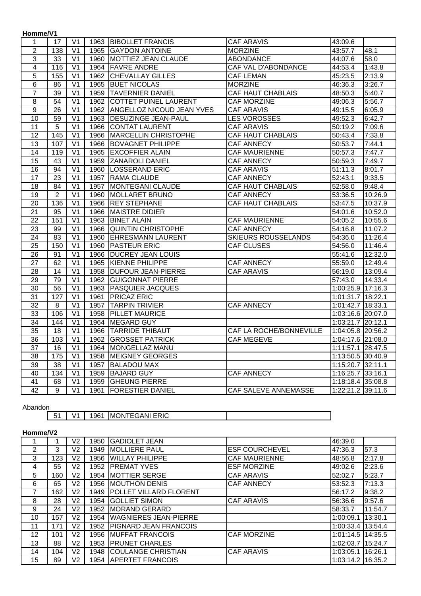| Homme/V1        |                   |                           |      |                                  |                            |                      |         |
|-----------------|-------------------|---------------------------|------|----------------------------------|----------------------------|----------------------|---------|
| 1               | 17                | V <sub>1</sub>            | 1963 | <b>BIBOLLET FRANCIS</b>          | <b>CAF ARAVIS</b>          | 43:09.6              |         |
| $\overline{2}$  | $\frac{138}{ }$   | $\overline{V}$            | 1965 | <b>GAYDON ANTOINE</b>            | <b>MORZINE</b>             | 43:57.7              | 48.1    |
| 3               | 33                | V <sub>1</sub>            | 1960 | MOTTIEZ JEAN CLAUDE              | <b>ABONDANCE</b>           | 44:07.6              | 58.0    |
| 4               | 116               | $\overline{V}$            | 1964 | <b>FAVRE ANDRE</b>               | <b>CAF VAL D'ABONDANCE</b> | 44:53.4              | 1:43.8  |
| $\overline{5}$  | 155               | $\overline{\vee}$ 1       | 1962 | <b>CHEVALLAY GILLES</b>          | <b>CAF LEMAN</b>           | 45:23.5              | 2:13.9  |
| $\,6$           | 86                | V <sub>1</sub>            | 1965 | <b>BUET NICOLAS</b>              | <b>MORZINE</b>             | 46:36.3              | 3:26.7  |
| $\overline{7}$  | 39                | V <sub>1</sub>            | 1959 | <b>TAVERNIER DANIEL</b>          | <b>CAF HAUT CHABLAIS</b>   | 48:50.3              | 5:40.7  |
| 8               | 54                | V <sub>1</sub>            | 1962 | <b>COTTET PUINEL LAURENT</b>     | <b>CAF MORZINE</b>         | 49:06.3              | 5:56.7  |
| $\overline{9}$  | $\overline{26}$   | V <sub>1</sub>            | 1962 | <b>ANGELLOZ NICOUD JEAN YVES</b> | <b>CAF ARAVIS</b>          | 49:15.5              | 6:05.9  |
| 10              | 59                | $\overline{V}$            | 1963 | <b>DESUZINGE JEAN-PAUL</b>       | <b>LES VOROSSES</b>        | 49:52.3              | 6:42.7  |
| 11              | $\overline{5}$    | $\overline{\mathsf{V1}}$  | 1966 | <b>CONTAT LAURENT</b>            | <b>CAF ARAVIS</b>          | 50:19.2              | 7:09.6  |
| 12              | 145               | V <sub>1</sub>            | 1966 | <b>MARCELLIN CHRISTOPHE</b>      | <b>CAF HAUT CHABLAIS</b>   | 50:43.4              | 7:33.8  |
| 13              | 107               | V <sub>1</sub>            | 1966 | <b>BOVAGNET PHILIPPE</b>         | <b>CAF ANNECY</b>          | 50:53.7              | 7:44.1  |
| 14              | 119               | V <sub>1</sub>            | 1965 | <b>EXCOFFIER ALAIN</b>           | <b>CAF MAURIENNE</b>       | 50:57.3              | 7:47.7  |
| 15              | 43                | V <sub>1</sub>            | 1959 | <b>ZANAROLI DANIEL</b>           | <b>CAF ANNECY</b>          | 50:59.3              | 7:49.7  |
| 16              | 94                | $\overline{V}$            | 1960 | <b>LOSSERAND ERIC</b>            | <b>CAF ARAVIS</b>          | 51:11.3              | 8:01.7  |
| 17              | 23                | $\overline{V}$            | 1957 | <b>RAMA CLAUDE</b>               | <b>CAF ANNECY</b>          | 52:43.1              | 9:33.5  |
| 18              | 84                | V <sub>1</sub>            | 1957 | MONTEGANI CLAUDE                 | <b>CAF HAUT CHABLAIS</b>   | 52:58.0              | 9:48.4  |
| 19              | $\overline{c}$    | $\overline{V}$            | 1960 | <b>MOLLARET BRUNO</b>            | <b>CAF ANNECY</b>          | 53:36.5              | 10:26.9 |
| 20              | 136               | V <sub>1</sub>            | 1966 | <b>REY STEPHANE</b>              | <b>CAF HAUT CHABLAIS</b>   | 53:47.5              | 10:37.9 |
| 21              | 95                | V <sub>1</sub>            | 1966 | <b>MAISTRE DIDIER</b>            |                            | 54:01.6              | 10:52.0 |
| 22              | 151               | V <sub>1</sub>            | 1963 | <b>BINET ALAIN</b>               | <b>CAF MAURIENNE</b>       | 54:05.2              | 10:55.6 |
| 23              | 99                | $\overline{V}$            | 1966 | <b>QUINTIN CHRISTOPHE</b>        | <b>CAF ANNECY</b>          | 54:16.8              | 11:07.2 |
| 24              | 83                | V <sub>1</sub>            | 1960 | <b>EHRESMANN LAURENT</b>         | <b>SKIEURS ROUSSELANDS</b> | $\overline{5}4:36.0$ | 11:26.4 |
| 25              | 150               | V <sub>1</sub>            | 1960 | <b>PASTEUR ERIC</b>              | <b>CAF CLUSES</b>          | 54:56.0              | 11:46.4 |
| 26              | 91                | $\overline{V}$            | 1966 | <b>DUCREY JEAN LOUIS</b>         |                            | 55:41.6              | 12:32.0 |
| $\overline{27}$ | 62                | $\overline{\mathsf{V}}$ 1 | 1965 | <b>KIENNE PHILIPPE</b>           | <b>CAF ANNECY</b>          | 55:59.0              | 12:49.4 |
| 28              | 14                | $\overline{V}$            | 1958 | <b>DUFOUR JEAN-PIERRE</b>        | <b>CAF ARAVIS</b>          | 56:19.0              | 13:09.4 |
| $\overline{29}$ | 79                | V <sub>1</sub>            | 1962 | <b>GUIGONNAT PIERRE</b>          |                            | 57:43.0              | 14:33.4 |
| $\overline{30}$ | 56                | $\overline{\mathsf{V}}$ 1 | 1963 | <b>PASQUIER JACQUES</b>          |                            | 1:00:25.9 17:16.3    |         |
| $\overline{31}$ | 127               | V <sub>1</sub>            | 1961 | <b>PRICAZ ERIC</b>               |                            | 1:01:31.7 18:22.1    |         |
| $\overline{32}$ | $\overline{8}$    | $\overline{\mathsf{V}}$ 1 | 1957 | <b>TARPIN TRIVIER</b>            | <b>CAF ANNECY</b>          | 1:01:42.7 18:33.1    |         |
| $\overline{33}$ | 106               | $\overline{\mathsf{V}}$ 1 | 1958 | <b>PILLET MAURICE</b>            |                            | 1:03:16.6 20:07.0    |         |
| $\overline{34}$ | 144               | $\overline{\mathsf{V}}$ 1 | 1964 | <b>MEGARD GUY</b>                |                            | 1:03:21.7 20:12.1    |         |
| $\overline{35}$ | 18                | V <sub>1</sub>            | 1966 | <b>TARRIDE THIBAUT</b>           | CAF LA ROCHE/BONNEVILLE    | 1:04:05.8 20:56.2    |         |
| 36              | 103               | V <sub>1</sub>            | 1962 | <b>GROSSET PATRICK</b>           | <b>CAF MEGEVE</b>          | 1:04:17.6 21:08.0    |         |
| $\overline{37}$ | $\overline{16}$   | V <sub>1</sub>            | 1964 | MONGELLAZ MANU                   |                            | 1:11:57.1 28:47.5    |         |
| $\overline{38}$ | $\frac{175}{175}$ | $\overline{\mathsf{V}}$ 1 | 1958 | <b>MEIGNEY GEORGES</b>           |                            | 1:13:50.5 30:40.9    |         |
| 39              | $\overline{38}$   | $\overline{\mathsf{V}}$ 1 | 1957 | <b>BALADOU MAX</b>               |                            | 1:15:20.7 32:11.1    |         |
| 40              | 134               | $\overline{\mathsf{V}}$ 1 | 1959 | <b>BAJARD GUY</b>                | <b>CAF ANNECY</b>          | 1:16:25.7 33:16.1    |         |
| $\overline{41}$ | 68                | $\overline{\mathsf{V}}$ 1 | 1959 | <b>GHEUNG PIERRE</b>             |                            | 1:18:18.4 35:08.8    |         |
| $\overline{42}$ | 9                 | $\overline{\vee}$ 1       | 1961 | <b>FORESTIER DANIEL</b>          | CAF SALEVE ANNEMASSE       | 1:22:21.2 39:11.6    |         |

Abandon

|--|

# **Homme/V2**

|    |     | V2 | 1950 | <b>GADIOLET JEAN</b>          |                       | 46:39.0   |         |
|----|-----|----|------|-------------------------------|-----------------------|-----------|---------|
| 2  | 3   | V2 | 1949 | <b>IMOLLIERE PAUL</b>         | <b>ESF COURCHEVEL</b> | 47:36.3   | 57.3    |
| 3  | 123 | V2 | 1956 | <b>WILLAY PHILIPPE</b>        | <b>CAF MAURIENNE</b>  | 48:56.8   | 2:17.8  |
| 4  | 55  | V2 | 1952 | <b>PREMAT YVES</b>            | <b>ESF MORZINE</b>    | 49:02.6   | 2:23.6  |
| 5  | 160 | V2 | 1954 | <b>MOTTIER SERGE</b>          | <b>CAF ARAVIS</b>     | 52:02.7   | 5:23.7  |
| 6  | 65  | V2 | 1956 | <b>MOUTHON DENIS</b>          | <b>CAF ANNECY</b>     | 53:52.3   | 7:13.3  |
|    | 162 | V2 | 1949 | <b>POLLET VILLARD FLORENT</b> |                       | 56:17.2   | 9:38.2  |
| 8  | 28  | V2 | 1954 | <b>GOLLIET SIMON</b>          | <b>CAF ARAVIS</b>     | 56:36.6   | 9:57.6  |
| 9  | 24  | V2 | 1952 | <b>MORAND GERARD</b>          |                       | 58:33.7   | 11:54.7 |
| 10 | 157 | V2 | 1954 | <b>WAGNIERES JEAN-PIERRE</b>  |                       | 1:00:09.1 | 13:30.1 |
| 11 | 171 | V2 | 1952 | <b>PIGNARD JEAN FRANCOIS</b>  |                       | 1:00:33.4 | 13:54.4 |
| 12 | 101 | V2 | 1956 | <b>MUFFAT FRANCOIS</b>        | <b>CAF MORZINE</b>    | 1:01:14.5 | 14:35.5 |
| 13 | 88  | V2 | 1953 | <b>PRUNET CHARLES</b>         |                       | 1:02:03.7 | 15:24.7 |
| 14 | 104 | V2 | 1948 | <b>COULANGE CHRISTIAN</b>     | <b>CAF ARAVIS</b>     | 1:03:05.1 | 16:26.1 |
| 15 | 89  | V2 |      | 1954 APERTET FRANCOIS         |                       | 1:03:14.2 | 16:35.2 |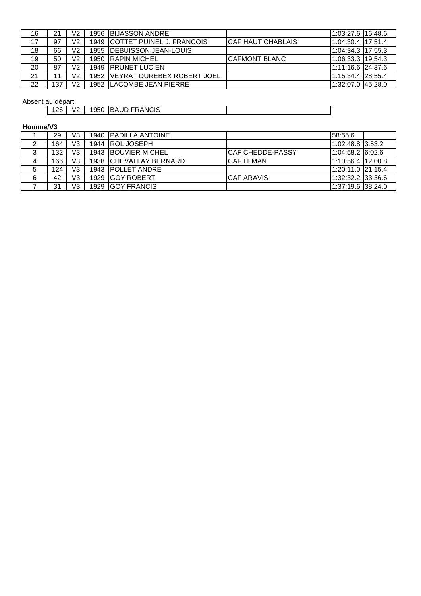| 16 |     | V2 | 1956 BIJASSON ANDRE              |                    | l1:03:27.6 l16:48.6 |  |
|----|-----|----|----------------------------------|--------------------|---------------------|--|
| 17 | 97  | V2 | 1949 ICOTTET PUINEL J. FRANCOIS  | ICAF HAUT CHABLAIS | 1:04:30.4 17:51.4   |  |
| 18 | 66  | V2 | 1955 IDEBUISSON JEAN-LOUIS       |                    | 1:04:34.3 17:55.3   |  |
| 19 | 50  | V2 | 1950 RAPIN MICHEL                | ICAFMONT BLANC     | 1:06:33.3 19:54.3   |  |
| 20 | 87  | V2 | 1949 <b>IPRUNET LUCIEN</b>       |                    | 1:11:16.6 24:37.6   |  |
| 21 |     | V2 | 1952 IVEYRAT DUREBEX ROBERT JOEL |                    | 1:15:34.4 28:55.4   |  |
| 22 | 137 | V2 | 1952 ILACOMBE JEAN PIERRE        |                    | 1:32:07.0 45:28.0   |  |

# Absent au départ

| au uupurt |                          |      |                                |  |
|-----------|--------------------------|------|--------------------------------|--|
| 126       | $\sqrt{2}$<br>$V_{\ell}$ | 1950 | <b>FRANCIS</b><br><b>IBAUD</b> |  |
|           |                          |      |                                |  |

# **Homme/V3**

|   | 29  | V3 |      | 1940 PADILLA ANTOINE   |                   | 58:55.6           |  |
|---|-----|----|------|------------------------|-------------------|-------------------|--|
|   | 164 | V3 |      | 1944 ROL JOSEPH        |                   | 1:02:48.8 3:53.2  |  |
| 3 | 132 | V3 |      | 1943 BOUVIER MICHEL    | ICAF CHEDDE-PASSY | 1:04:58.2 6:02.6  |  |
| 4 | 166 | V3 |      | 1938 CHEVALLAY BERNARD | <b>CAF LEMAN</b>  | 1:10:56.4 12:00.8 |  |
| 5 | 124 | V3 |      | 1943 POLLET ANDRE      |                   | 1:20:11.0 21:15.4 |  |
| 6 | 42  | V3 |      | 1929 GOY ROBERT        | <b>CAF ARAVIS</b> | 1:32:32.2 33:36.6 |  |
|   | 31  | V3 | 1929 | <b>GOY FRANCIS</b>     |                   | 1:37:19.6 38:24.0 |  |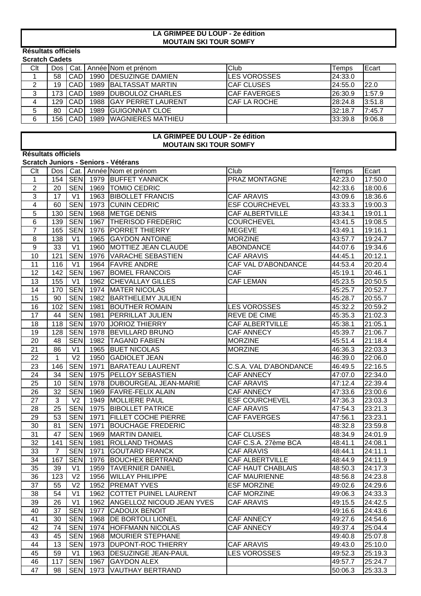### **MOUTAIN SKI TOUR SOMFY LA GRIMPEE DU LOUP - 2e édition**

#### **Résultats officiels Scratch Cadets**

|        | ociatoli oducta |             |  |                           |                      |         |        |  |  |  |
|--------|-----------------|-------------|--|---------------------------|----------------------|---------|--------|--|--|--|
| Clt    | Dos   Cat.      |             |  | Année Nom et prénom       | <b>Club</b>          | Геmps   | Ecart  |  |  |  |
|        | 58              | <b>CAD</b>  |  | 1990   DESUZINGE DAMIEN   | ILES VOROSSES        | 24:33.0 |        |  |  |  |
|        | 19              | <b>CAD</b>  |  | 1989 BALTASSAT MARTIN     | ICAF CLUSES          | 24:55.0 | 22.0   |  |  |  |
| ◠<br>د | 173             | <b>ICAD</b> |  | 1989   DUBOULOZ CHARLES   | <b>ICAF FAVERGES</b> | 26:30.9 | 1:57.9 |  |  |  |
| 4      | 129             | <b>ICAD</b> |  | 1988   GAY PERRET LAURENT | ICAF LA ROCHE        | 28:24.8 | 3:51.8 |  |  |  |
| 5      | 80              | <b>CAD</b>  |  | 1989 GUIGONNAT CLOE       |                      | 32:18.7 | 7:45.7 |  |  |  |
| 6      | 156             | <b>ICAD</b> |  | 1989   WAGNIERES MATHIEU  |                      | 33:39.8 | 9:06.8 |  |  |  |
|        |                 |             |  |                           |                      |         |        |  |  |  |

### **LA GRIMPEE DU LOUP - 2e édition MOUTAIN SKI TOUR SOMFY**

# **Résultats officiels**

#### **Scratch Juniors - Seniors - Vétérans**

| Clt                       | Dos |                |      | Cat.   Année Nom et prénom     | Club                   | Temps   | Ecart   |
|---------------------------|-----|----------------|------|--------------------------------|------------------------|---------|---------|
| $\mathbf{1}$              | 154 | <b>SEN</b>     |      | 1979 BUFFET YANNICK            | PRAZ MONTAGNE          | 42:23.0 | 17:50.0 |
| $\overline{2}$            | 20  | <b>SEN</b>     | 1969 | <b>TOMIO CEDRIC</b>            |                        | 42:33.6 | 18:00.6 |
| $\ensuremath{\mathsf{3}}$ | 17  | V <sub>1</sub> | 1963 | <b>BIBOLLET FRANCIS</b>        | <b>CAF ARAVIS</b>      | 43:09.6 | 18:36.6 |
| $\overline{4}$            | 60  | <b>SEN</b>     | 1973 | <b>CUNIN CEDRIC</b>            | <b>ESF COURCHEVEL</b>  | 43:33.3 | 19:00.3 |
| 5                         | 130 | <b>SEN</b>     | 1968 | <b>METGE DENIS</b>             | <b>CAF ALBERTVILLE</b> | 43:34.1 | 19:01.1 |
| $\,6$                     | 139 | <b>SEN</b>     | 1967 | <b>THERISOD FREDERIC</b>       | <b>COURCHEVEL</b>      | 43:41.5 | 19:08.5 |
| $\overline{7}$            | 165 | <b>SEN</b>     | 1976 | <b>PORRET THIERRY</b>          | <b>MEGEVE</b>          | 43:49.1 | 19:16.1 |
| 8                         | 138 | V <sub>1</sub> | 1965 | <b>GAYDON ANTOINE</b>          | <b>MORZINE</b>         | 43:57.7 | 19:24.7 |
| 9                         | 33  | V <sub>1</sub> | 1960 | MOTTIEZ JEAN CLAUDE            | <b>ABONDANCE</b>       | 44:07.6 | 19:34.6 |
| 10                        | 121 | <b>SEN</b>     | 1976 | <b>VARACHE SEBASTIEN</b>       | <b>CAF ARAVIS</b>      | 44:45.1 | 20:12.1 |
| 11                        | 116 | V <sub>1</sub> | 1964 | <b>FAVRE ANDRE</b>             | CAF VAL D'ABONDANCE    | 44:53.4 | 20:20.4 |
| 12                        | 142 | <b>SEN</b>     | 1967 | <b>BOMEL FRANCOIS</b>          | <b>CAF</b>             | 45:19.1 | 20:46.1 |
| 13                        | 155 | V <sub>1</sub> | 1962 | <b>CHEVALLAY GILLES</b>        | <b>CAF LEMAN</b>       | 45:23.5 | 20:50.5 |
| 14                        | 170 | <b>SEN</b>     | 1974 | <b>MATER NICOLAS</b>           |                        | 45:25.7 | 20:52.7 |
| 15                        | 90  | <b>SEN</b>     | 1982 | <b>BARTHELEMY JULIEN</b>       |                        | 45:28.7 | 20:55.7 |
| 16                        | 102 | <b>SEN</b>     | 1981 | <b>BOUTHER ROMAIN</b>          | <b>LES VOROSSES</b>    | 45:32.2 | 20:59.2 |
| 17                        | 44  | <b>SEN</b>     | 1981 | <b>PERRILLAT JULIEN</b>        | REVE DE CIME           | 45:35.3 | 21:02.3 |
| 18                        | 118 | <b>SEN</b>     | 1970 | <b>JORIOZ THIERRY</b>          | <b>CAF ALBERTVILLE</b> | 45:38.1 | 21:05.1 |
| 19                        | 128 | <b>SEN</b>     | 1978 | <b>BEVILLARD BRUNO</b>         | <b>CAF ANNECY</b>      | 45:39.7 | 21:06.7 |
| 20                        | 48  | <b>SEN</b>     | 1982 | <b>TAGAND FABIEN</b>           | <b>MORZINE</b>         | 45:51.4 | 21:18.4 |
| 21                        | 86  | V <sub>1</sub> | 1965 | <b>BUET NICOLAS</b>            | <b>MORZINE</b>         | 46:36.3 | 22:03.3 |
| 22                        | 1   | V <sub>2</sub> | 1950 | <b>GADIOLET JEAN</b>           |                        | 46:39.0 | 22:06.0 |
| 23                        | 146 | <b>SEN</b>     | 1971 | <b>BARATEAU LAURENT</b>        | C.S.A. VAL D'ABONDANCE | 46:49.5 | 22:16.5 |
| 24                        | 34  | <b>SEN</b>     | 1975 | <b>PELLOY SEBASTIEN</b>        | CAF ANNECY             | 47:07.0 | 22:34.0 |
| 25                        | 10  | <b>SEN</b>     | 1978 | DUBOURGEAL JEAN-MARIE          | <b>CAF ARAVIS</b>      | 47:12.4 | 22:39.4 |
| 26                        | 32  | <b>SEN</b>     | 1969 | <b>FAVRE-FELIX ALAIN</b>       | CAF ANNECY             | 47:33.6 | 23:00.6 |
| 27                        | 3   | V <sub>2</sub> | 1949 | <b>MOLLIERE PAUL</b>           | <b>ESF COURCHEVEL</b>  | 47:36.3 | 23:03.3 |
| 28                        | 25  | <b>SEN</b>     | 1975 | <b>BIBOLLET PATRICE</b>        | <b>CAF ARAVIS</b>      | 47:54.3 | 23:21.3 |
| 29                        | 53  | <b>SEN</b>     | 1971 | <b>FILLET COCHE PIERRE</b>     | CAF FAVERGES           | 47:56.1 | 23:23.1 |
| 30                        | 81  | <b>SEN</b>     | 1971 | <b>BOUCHAGE FREDERIC</b>       |                        | 48:32.8 | 23:59.8 |
| 31                        | 47  | <b>SEN</b>     | 1969 | <b>MARTIN DANIEL</b>           | <b>CAF CLUSES</b>      | 48:34.9 | 24:01.9 |
| 32                        | 141 | <b>SEN</b>     | 1981 | <b>ROLLAND THOMAS</b>          | CAF C.S.A. 27ème BCA   | 48:41.1 | 24:08.1 |
| 33                        | 7   | <b>SEN</b>     | 1971 | <b>GOUTARD FRANCK</b>          | <b>CAF ARAVIS</b>      | 48:44.1 | 24:11.1 |
| 34                        | 167 | <b>SEN</b>     | 1976 | <b>BOUCHEX BERTRAND</b>        | <b>CAF ALBERTVILLE</b> | 48:44.9 | 24:11.9 |
| 35                        | 39  | V <sub>1</sub> | 1959 | <b>TAVERNIER DANIEL</b>        | CAF HAUT CHABLAIS      | 48:50.3 | 24:17.3 |
| 36                        | 123 | V <sub>2</sub> | 1956 | <b>WILLAY PHILIPPE</b>         | <b>CAF MAURIENNE</b>   | 48:56.8 | 24:23.8 |
| 37                        | 55  | V <sub>2</sub> |      | 1952   PREMAT YVES             | <b>ESF MORZINE</b>     | 49:02.6 | 24:29.6 |
| 38                        | 54  | V <sub>1</sub> |      | 1962 COTTET PUINEL LAURENT     | <b>CAF MORZINE</b>     | 49:06.3 | 24:33.3 |
| 39                        | 26  | V <sub>1</sub> |      | 1962 ANGELLOZ NICOUD JEAN YVES | <b>CAF ARAVIS</b>      | 49:15.5 | 24:42.5 |
| 40                        | 37  | <b>SEN</b>     | 1977 | <b>CADOUX BENOIT</b>           |                        | 49:16.6 | 24:43.6 |
| 41                        | 30  | <b>SEN</b>     | 1968 | <b>DE BORTOLI LIONEL</b>       | <b>CAF ANNECY</b>      | 49:27.6 | 24:54.6 |
| 42                        | 74  | <b>SEN</b>     |      | 1974 HOFFMANN NICOLAS          | CAF ANNECY             | 49:37.4 | 25:04.4 |
| 43                        | 45  | <b>SEN</b>     | 1968 | <b>MOURIER STEPHANE</b>        |                        | 49:40.8 | 25:07.8 |
| 44                        | 13  | <b>SEN</b>     | 1973 | <b>DUPONT-ROC THIERRY</b>      | <b>CAF ARAVIS</b>      | 49:43.0 | 25:10.0 |
| 45                        | 59  | V <sub>1</sub> | 1963 | <b>DESUZINGE JEAN-PAUL</b>     | <b>LES VOROSSES</b>    | 49:52.3 | 25:19.3 |
| 46                        | 117 | <b>SEN</b>     | 1967 | <b>GAYDON ALEX</b>             |                        | 49:57.7 | 25:24.7 |
| 47                        | 98  | <b>SEN</b>     | 1973 | <b>VAUTHAY BERTRAND</b>        |                        | 50:06.3 | 25:33.3 |
|                           |     |                |      |                                |                        |         |         |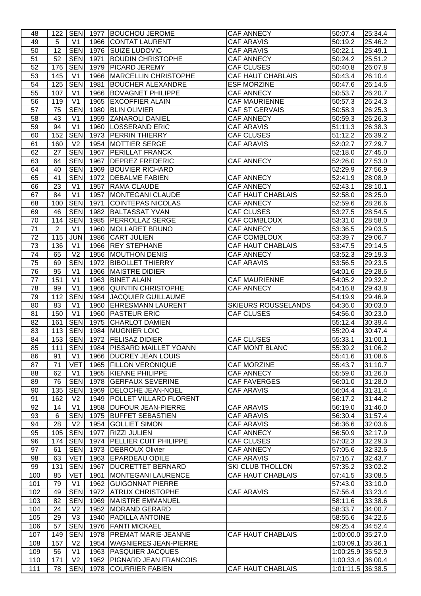| 48         | 122            |                              |              | SEN   1977 BOUCHOU JEROME                       | <b>CAF ANNECY</b>          | 50:07.4                                | 25:34.4 |
|------------|----------------|------------------------------|--------------|-------------------------------------------------|----------------------------|----------------------------------------|---------|
| 49         | 5              | V <sub>1</sub>               |              | 1966 CONTAT LAURENT                             | <b>CAF ARAVIS</b>          | 50:19.2                                | 25:46.2 |
| 50         | 12             | <b>SEN</b>                   |              | 1976 SUIZE LUDOVIC                              | <b>CAF ARAVIS</b>          | 50:22.1                                | 25:49.1 |
| 51         | 52             | <b>SEN</b>                   | 1971         | <b>BOUDIN CHRISTOPHE</b>                        | CAF ANNECY                 | 50:24.2                                | 25:51.2 |
| 52         | 176            | <b>SEN</b>                   | 1979         | <b>PICARD JEREMY</b>                            | <b>CAF CLUSES</b>          | 50:40.8                                | 26:07.8 |
| 53         | 145            | V <sub>1</sub>               |              | 1966 MARCELLIN CHRISTOPHE                       | <b>CAF HAUT CHABLAIS</b>   | 50:43.4                                | 26:10.4 |
| 54         | 125            | <b>SEN</b>                   | 1981         | <b>BOUCHER ALEXANDRE</b>                        | <b>ESF MORZINE</b>         | 50:47.6                                | 26:14.6 |
| 55         | 107            | V <sub>1</sub>               |              | 1966 BOVAGNET PHILIPPE                          | CAF ANNECY                 | 50:53.7                                | 26:20.7 |
| 56         | 119            | V <sub>1</sub>               | 1965         | <b>EXCOFFIER ALAIN</b>                          | <b>CAF MAURIENNE</b>       | 50:57.3                                | 26:24.3 |
| 57         | 75             | <b>SEN</b>                   | 1980         | <b>BLIN OLIVIER</b>                             | <b>CAF ST GERVAIS</b>      | 50:58.3                                | 26:25.3 |
| 58         | 43             | V <sub>1</sub>               | 1959         | <b>ZANAROLI DANIEL</b>                          | <b>CAF ANNECY</b>          | 50:59.3                                | 26:26.3 |
| 59         | 94             | V <sub>1</sub>               | 1960         | <b>LOSSERAND ERIC</b>                           | <b>CAF ARAVIS</b>          | 51:11.3                                | 26:38.3 |
| 60         | 152            | <b>SEN</b>                   |              | 1973 PERRIN THIERRY                             | <b>CAF CLUSES</b>          | 51:12.2                                | 26:39.2 |
| 61         | 160            | V <sub>2</sub>               |              | 1954   MOTTIER SERGE                            | <b>CAF ARAVIS</b>          | 52:02.7                                | 27:29.7 |
| 62         | 27             | <b>SEN</b>                   | 1967         | <b>PERILLAT FRANCK</b>                          |                            | 52:18.0                                | 27:45.0 |
| 63         | 64             | <b>SEN</b>                   | 1967         | <b>DEPREZ FREDERIC</b>                          | <b>CAF ANNECY</b>          | 52:26.0                                | 27:53.0 |
| 64         | 40             | <b>SEN</b>                   | 1969         | <b>BOUVIER RICHARD</b>                          |                            | 52:29.9                                | 27:56.9 |
| 65         | 41             | <b>SEN</b>                   |              | 1972 DEBALME FABIEN                             | CAF ANNECY                 | 52:41.9                                | 28:08.9 |
| 66         | 23             | V <sub>1</sub>               | 1957         | RAMA CLAUDE                                     | CAF ANNECY                 | 52:43.1                                | 28:10.1 |
| 67         | 84             | V <sub>1</sub>               | 1957         | <b>MONTEGANI CLAUDE</b>                         | CAF HAUT CHABLAIS          | 52:58.0                                | 28:25.0 |
| 68         | 100            | <b>SEN</b>                   | 1971         | COINTEPAS NICOLAS                               | CAF ANNECY                 | 52:59.6                                | 28:26.6 |
| 69         | 46             | <b>SEN</b>                   | 1982         | <b>BALTASSAT YVAN</b>                           | <b>CAF CLUSES</b>          | 53:27.5                                | 28:54.5 |
| 70         | 114            | <b>SEN</b>                   | 1985         | <b>PERROLLAZ SERGE</b>                          | CAF COMBLOUX               | 53:31.0                                | 28:58.0 |
| 71         | $\overline{2}$ | V <sub>1</sub>               | 1960         | <b>MOLLARET BRUNO</b>                           | CAF ANNECY                 | 53:36.5                                | 29:03.5 |
| 72         | 115            | JUN                          | 1986         | <b>CART JULIEN</b>                              | CAF COMBLOUX               | 53:39.7                                | 29:06.7 |
| 73         | 136            | V1                           |              | 1966 REY STEPHANE                               | CAF HAUT CHABLAIS          | 53:47.5                                | 29:14.5 |
| 74         | 65             | V <sub>2</sub>               | 1956         | <b>MOUTHON DENIS</b>                            | CAF ANNECY                 | 53:52.3                                | 29:19.3 |
| 75         | 69             | <b>SEN</b>                   | 1972         | <b>BIBOLLET THIERRY</b>                         | <b>CAF ARAVIS</b>          | 53:56.5                                | 29:23.5 |
| 76         | 95             | V <sub>1</sub>               | 1966         | <b>MAISTRE DIDIER</b>                           |                            | 54:01.6                                | 29:28.6 |
| 77         | 151            | V <sub>1</sub>               | 1963         | <b>BINET ALAIN</b>                              | <b>CAF MAURIENNE</b>       | 54:05.2                                | 29:32.2 |
| 78         | 99             | V <sub>1</sub>               | 1966         | QUINTIN CHRISTOPHE                              | <b>CAF ANNECY</b>          | 54:16.8                                | 29:43.8 |
| 79         | 112            | <b>SEN</b>                   | 1984         | <b>JACQUIER GUILLAUME</b>                       |                            | 54:19.9                                | 29:46.9 |
|            |                |                              |              |                                                 |                            |                                        |         |
| 80         | 83             | V <sub>1</sub>               | 1960         | <b>EHRESMANN LAURENT</b>                        | <b>SKIEURS ROUSSELANDS</b> | 54:36.0                                | 30:03.0 |
| 81         | 150            | V <sub>1</sub>               | 1960         | <b>PASTEUR ERIC</b>                             | <b>CAF CLUSES</b>          | 54:56.0                                | 30:23.0 |
| 82         | 161            | <b>SEN</b>                   | 1975         | <b>CHARLOT DAMIEN</b>                           |                            | 55:12.4                                | 30:39.4 |
| 83         | 113            | <b>SEN</b>                   | 1984         | <b>MUGNIER LOIC</b>                             |                            | 55:20.4                                | 30:47.4 |
| 84         | 153            | <b>SEN</b>                   |              | 1972   FELISAZ DIDIER                           | <b>CAF CLUSES</b>          | 55:33.1                                | 31:00.1 |
| 85         | 111            |                              |              | SEN 1984   PISSARD MAILLET YOANN                | CAF MONT BLANC             | 55:39.2                                | 31:06.2 |
| 86         | 91             | V <sub>1</sub>               | 1966         | <b>DUCREY JEAN LOUIS</b>                        |                            | 55:41.6                                | 31:08.6 |
| 87         | 71             | <b>VET</b>                   | 1965         | <b>FILLON VERONIQUE</b>                         | <b>CAF MORZINE</b>         | 55:43.7                                | 31:10.7 |
| 88         | 62             | V <sub>1</sub>               | 1965         | <b>KIENNE PHILIPPE</b>                          | <b>CAF ANNECY</b>          | 55:59.0                                | 31:26.0 |
| 89         | 76             | <b>SEN</b>                   | 1978         | <b>GERFAUX SEVERINE</b>                         | <b>CAF FAVERGES</b>        | 56:01.0                                | 31:28.0 |
| 90         | 135            | <b>SEN</b>                   | 1969         | <b>DELOCHE JEAN-NOEL</b>                        | <b>CAF ARAVIS</b>          | 56:04.4                                | 31:31.4 |
| 91         | 162            | V <sub>2</sub>               | 1949         | <b>POLLET VILLARD FLORENT</b>                   |                            | 56:17.2                                | 31:44.2 |
| 92         | 14             | V <sub>1</sub>               | 1958         | <b>DUFOUR JEAN-PIERRE</b>                       | <b>CAF ARAVIS</b>          | 56:19.0                                | 31:46.0 |
| 93         | 6              | <b>SEN</b>                   | 1975         | <b>BUFFET SEBASTIEN</b>                         | <b>CAF ARAVIS</b>          | 56:30.4                                | 31:57.4 |
| 94         | 28             | V <sub>2</sub>               | 1954         | <b>GOLLIET SIMON</b>                            | <b>CAF ARAVIS</b>          | 56:36.6                                | 32:03.6 |
| 95         | 105            | <b>SEN</b>                   | 1977         | <b>RIZZI JULIEN</b>                             | CAF ANNECY                 | 56:50.9                                | 32:17.9 |
| 96         | 174            | <b>SEN</b>                   | 1974         | <b>PELLIER CUIT PHILIPPE</b>                    | CAF CLUSES                 | 57:02.3                                | 32:29.3 |
| 97         | 61             | SEN                          | 1973         | DEBROUX Olivier                                 | <b>CAF ANNECY</b>          | 57:05.6                                | 32:32.6 |
| 98         | 63             | <b>VET</b>                   | 1963         | <b>EPARDEAU ODILE</b>                           | <b>CAF ARAVIS</b>          | 57:16.7                                | 32:43.7 |
| 99         | 131            | <b>SEN</b>                   | 1967         | <b>IDUCRETTET BERNARD</b>                       | <b>SKI CLUB THOLLON</b>    | 57:35.2                                | 33:02.2 |
| 100        | 85             | <b>VET</b>                   | 1961         | <b>MONTEGANI LAURENCE</b>                       | CAF HAUT CHABLAIS          | 57:41.5                                | 33:08.5 |
| 101        | 79             | V <sub>1</sub>               | 1962         | <b>GUIGONNAT PIERRE</b>                         |                            | 57:43.0                                | 33:10.0 |
| 102        | 49             | <b>SEN</b>                   | 1972         | <b>ATRUX CHRISTOPHE</b>                         | CAF ARAVIS                 | 57:56.4                                | 33:23.4 |
| 103        | 82             | <b>SEN</b>                   | 1969         | <b>MAISTRE EMMANUEL</b>                         |                            | 58:11.6                                | 33:38.6 |
| 104        | 24             | V <sub>2</sub>               | 1952         | <b>MORAND GERARD</b>                            |                            | 58:33.7                                | 34:00.7 |
| 105        | 29             | V <sub>3</sub>               | 1940         | <b>PADILLA ANTOINE</b>                          |                            | 58:55.6                                | 34:22.6 |
| 106        | 57             | <b>SEN</b>                   | 1976         | <b>FANTI MICKAEL</b>                            |                            | 59:25.4                                | 34:52.4 |
| 107        | 149            | <b>SEN</b>                   | 1978         | <b>PREMAT MARIE-JEANNE</b>                      | CAF HAUT CHABLAIS          | 1:00:00.0 35:27.0                      |         |
| 108        | 157            | V <sub>2</sub>               | 1954         | <b>WAGNIERES JEAN-PIERRE</b>                    |                            | 1:00:09.1 35:36.1                      |         |
| 109        | 56             | V <sub>1</sub>               | 1963         | <b>PASQUIER JACQUES</b>                         |                            | 1:00:25.9 35:52.9                      |         |
| 110<br>111 | 171<br>78      | V <sub>2</sub><br><b>SEN</b> | 1952<br>1978 | PIGNARD JEAN FRANCOIS<br><b>COURRIER FABIEN</b> | CAF HAUT CHABLAIS          | 1:00:33.4 36:00.4<br>1:01:11.5 36:38.5 |         |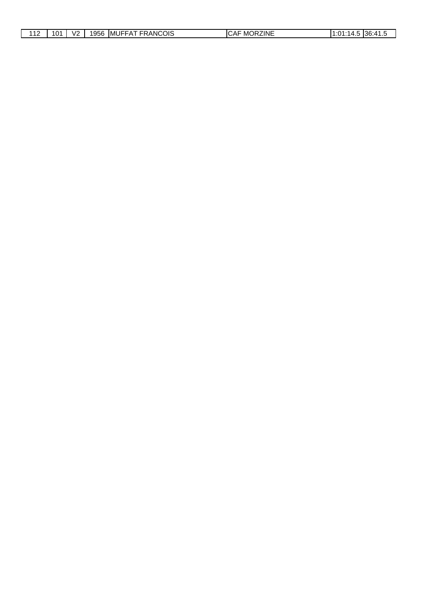| 110<br>$\overline{\phantom{0}}$ | 10 <sup>4</sup><br>∼ | V <sub>2</sub> | 1956 | <b>FRANCOIS</b><br>MUFFA <sup>-</sup> | <b>RZINE</b><br>CAF<br>℩⊫<br>MO | 1:01:1<br>4<br>−.∪ | ∙ים?<br>۰∆1.<br>100. <del>1</del> 1.0 |
|---------------------------------|----------------------|----------------|------|---------------------------------------|---------------------------------|--------------------|---------------------------------------|
|                                 |                      |                |      |                                       |                                 |                    |                                       |